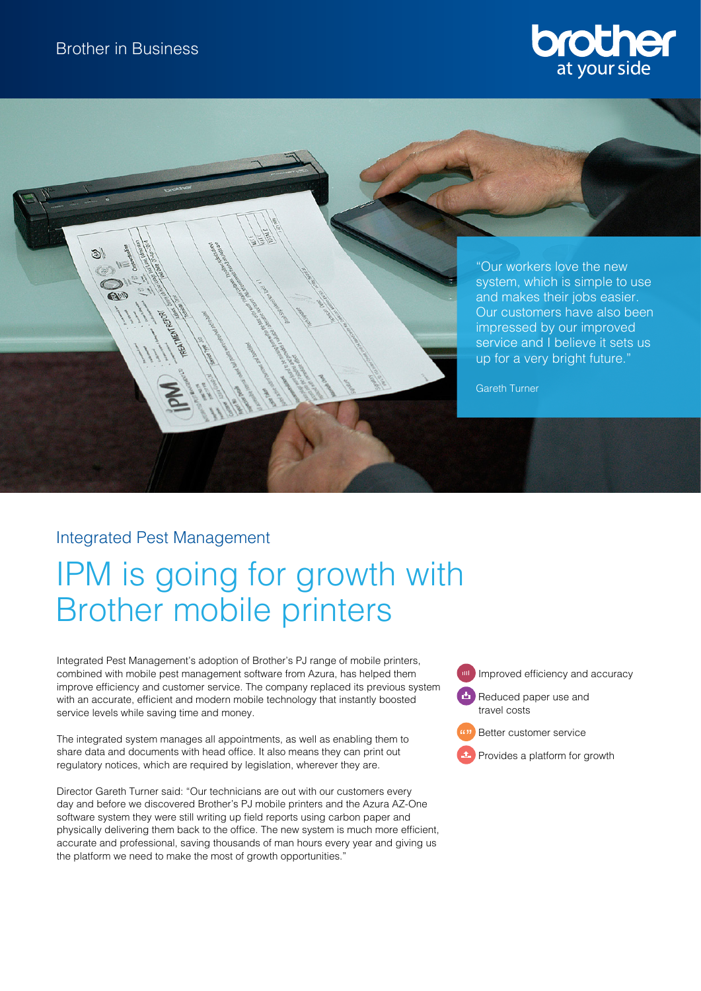



"Our workers love the new system, which is simple to use and makes their jobs easier. Our customers have also been impressed by our improved service and I believe it sets us up for a very bright future."

Gareth Turner

# Integrated Pest Management

# IPM is going for growth with Brother mobile printers

Integrated Pest Management's adoption of Brother's PJ range of mobile printers, combined with mobile pest management software from Azura, has helped them improve efficiency and customer service. The company replaced its previous system with an accurate, efficient and modern mobile technology that instantly boosted service levels while saving time and money.

The integrated system manages all appointments, as well as enabling them to share data and documents with head office. It also means they can print out regulatory notices, which are required by legislation, wherever they are.

Director Gareth Turner said: "Our technicians are out with our customers every day and before we discovered Brother's PJ mobile printers and the Azura AZ-One software system they were still writing up field reports using carbon paper and physically delivering them back to the office. The new system is much more efficient, accurate and professional, saving thousands of man hours every year and giving us the platform we need to make the most of growth opportunities."

Improved efficiency and accuracy

Reduced paper use and travel costs

Better customer service